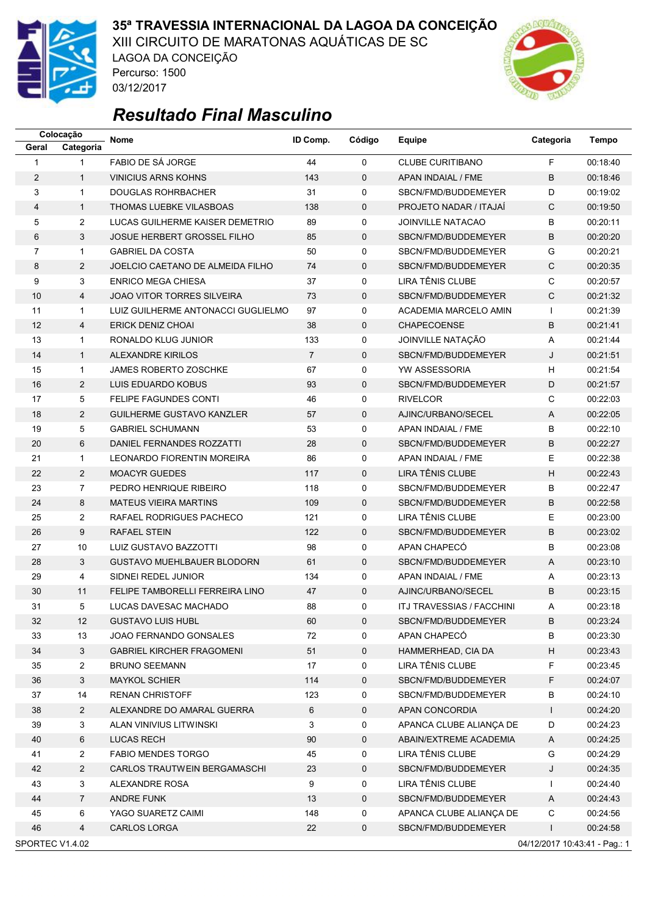

### **35ª TRAVESSIA INTERNACIONAL DA LAGOA DA CONCEIÇÃO**

XIII CIRCUITO DE MARATONAS AQUÁTICAS DE SC LAGOA DA CONCEIÇÃO



# *Resultado Final Masculino*

Percurso: 1500 03/12/2017

|                 | Colocação      | <b>Nome</b>                        | ID Comp.       | Código      | Equipe                           | Categoria                     | <b>Tempo</b> |
|-----------------|----------------|------------------------------------|----------------|-------------|----------------------------------|-------------------------------|--------------|
| Geral           | Categoria      |                                    |                |             |                                  |                               |              |
| $\mathbf{1}$    | $\mathbf{1}$   | FABIO DE SÁ JORGE                  | 44             | $\mathbf 0$ | <b>CLUBE CURITIBANO</b>          | F                             | 00:18:40     |
| $\overline{2}$  | $\mathbf{1}$   | <b>VINICIUS ARNS KOHNS</b>         | 143            | $\mathbf 0$ | APAN INDAIAL / FME               | B                             | 00:18:46     |
| 3               | $\mathbf{1}$   | <b>DOUGLAS ROHRBACHER</b>          | 31             | $\mathbf 0$ | SBCN/FMD/BUDDEMEYER              | D                             | 00:19:02     |
| 4               | $\mathbf{1}$   | THOMAS LUEBKE VILASBOAS            | 138            | $\mathbf 0$ | PROJETO NADAR / ITAJAÍ           | C                             | 00:19:50     |
| 5               | $\overline{2}$ | LUCAS GUILHERME KAISER DEMETRIO    | 89             | 0           | <b>JOINVILLE NATACAO</b>         | B                             | 00:20:11     |
| 6               | 3              | <b>JOSUE HERBERT GROSSEL FILHO</b> | 85             | $\mathbf 0$ | SBCN/FMD/BUDDEMEYER              | B                             | 00:20:20     |
| 7               | $\mathbf{1}$   | <b>GABRIEL DA COSTA</b>            | 50             | 0           | SBCN/FMD/BUDDEMEYER              | G                             | 00:20:21     |
| 8               | $\overline{2}$ | JOELCIO CAETANO DE ALMEIDA FILHO   | 74             | $\mathbf 0$ | SBCN/FMD/BUDDEMEYER              | $\mathsf{C}$                  | 00:20:35     |
| 9               | 3              | <b>ENRICO MEGA CHIESA</b>          | 37             | 0           | LIRA TÊNIS CLUBE                 | C                             | 00:20:57     |
| 10              | 4              | <b>JOAO VITOR TORRES SILVEIRA</b>  | 73             | $\mathbf 0$ | SBCN/FMD/BUDDEMEYER              | C                             | 00:21:32     |
| 11              | $\mathbf{1}$   | LUIZ GUILHERME ANTONACCI GUGLIELMO | 97             | 0           | ACADEMIA MARCELO AMIN            | $\mathbf{I}$                  | 00:21:39     |
| 12              | 4              | <b>ERICK DENIZ CHOAI</b>           | 38             | $\mathbf 0$ | <b>CHAPECOENSE</b>               | B                             | 00:21:41     |
| 13              | $\mathbf{1}$   | RONALDO KLUG JUNIOR                | 133            | 0           | JOINVILLE NATAÇÃO                | Α                             | 00:21:44     |
| 14              | $\mathbf{1}$   | <b>ALEXANDRE KIRILOS</b>           | $\overline{7}$ | $\mathbf 0$ | SBCN/FMD/BUDDEMEYER              | J                             | 00:21:51     |
| 15              | $\mathbf{1}$   | <b>JAMES ROBERTO ZOSCHKE</b>       | 67             | 0           | YW ASSESSORIA                    | н                             | 00:21:54     |
| 16              | 2              | LUIS EDUARDO KOBUS                 | 93             | $\mathbf 0$ | SBCN/FMD/BUDDEMEYER              | D                             | 00:21:57     |
| 17              | 5              | <b>FELIPE FAGUNDES CONTI</b>       | 46             | 0           | <b>RIVELCOR</b>                  | C                             | 00:22:03     |
| 18              | $\overline{2}$ | <b>GUILHERME GUSTAVO KANZLER</b>   | 57             | $\mathbf 0$ | AJINC/URBANO/SECEL               | A                             | 00:22:05     |
| 19              | 5              | <b>GABRIEL SCHUMANN</b>            | 53             | 0           | APAN INDAIAL / FME               | B                             | 00:22:10     |
| 20              | 6              | DANIEL FERNANDES ROZZATTI          | 28             | $\mathbf 0$ | SBCN/FMD/BUDDEMEYER              | B                             | 00:22:27     |
| 21              | $\mathbf{1}$   | LEONARDO FIORENTIN MOREIRA         | 86             | 0           | APAN INDAIAL / FME               | E                             | 00:22:38     |
| 22              | $\overline{2}$ | <b>MOACYR GUEDES</b>               | 117            | $\mathbf 0$ | LIRA TÊNIS CLUBE                 | Н                             | 00:22:43     |
| 23              | $\overline{7}$ | PEDRO HENRIQUE RIBEIRO             | 118            | 0           | SBCN/FMD/BUDDEMEYER              | B                             | 00:22:47     |
| 24              | 8              | <b>MATEUS VIEIRA MARTINS</b>       | 109            | $\mathbf 0$ | SBCN/FMD/BUDDEMEYER              | B                             | 00:22:58     |
| 25              | $\overline{2}$ | RAFAEL RODRIGUES PACHECO           | 121            | $\mathbf 0$ | <b>LIRA TÊNIS CLUBE</b>          | E                             | 00:23:00     |
| 26              | 9              | <b>RAFAEL STEIN</b>                | 122            | $\mathbf 0$ | SBCN/FMD/BUDDEMEYER              | B                             | 00:23:02     |
| 27              | 10             | LUIZ GUSTAVO BAZZOTTI              | 98             | $\mathbf 0$ | APAN CHAPECÓ                     | B                             | 00:23:08     |
| 28              | 3              | <b>GUSTAVO MUEHLBAUER BLODORN</b>  | 61             | $\mathbf 0$ | SBCN/FMD/BUDDEMEYER              | A                             | 00:23:10     |
| 29              | 4              | SIDNEI REDEL JUNIOR                | 134            | 0           | APAN INDAIAL / FME               | Α                             | 00:23:13     |
| 30              | 11             | FELIPE TAMBORELLI FERREIRA LINO    | 47             | $\mathbf 0$ | AJINC/URBANO/SECEL               | B                             | 00:23:15     |
| 31              | 5              | LUCAS DAVESAC MACHADO              | 88             | 0           | <b>ITJ TRAVESSIAS / FACCHINI</b> | A                             | 00:23:18     |
| 32              | 12             | <b>GUSTAVO LUIS HUBL</b>           | 60             | 0           | SBCN/FMD/BUDDEMEYER              | B                             | 00:23:24     |
| 33              | 13             | JOAO FERNANDO GONSALES             | 72             | 0           | APAN CHAPECO                     | В                             | 00:23:30     |
| 34              | 3              | <b>GABRIEL KIRCHER FRAGOMENI</b>   | 51             | $\mathbf 0$ | HAMMERHEAD, CIA DA               | $\boldsymbol{\mathsf{H}}$     | 00:23:43     |
| 35              | $\overline{c}$ | <b>BRUNO SEEMANN</b>               | 17             | 0           | LIRA TÊNIS CLUBE                 | F                             | 00:23:45     |
| 36              | 3              | <b>MAYKOL SCHIER</b>               | 114            | 0           | SBCN/FMD/BUDDEMEYER              | F                             | 00:24:07     |
| 37              | 14             | <b>RENAN CHRISTOFF</b>             | 123            | 0           | SBCN/FMD/BUDDEMEYER              | В                             | 00:24:10     |
| 38              | $\overline{2}$ | ALEXANDRE DO AMARAL GUERRA         | 6              | $\mathbf 0$ | APAN CONCORDIA                   | $\mathbf{L}$                  | 00:24:20     |
| 39              | 3              | ALAN VINIVIUS LITWINSKI            | 3              | 0           | APANCA CLUBE ALIANÇA DE          | D                             | 00:24:23     |
| 40              | 6              | LUCAS RECH                         | 90             | 0           | ABAIN/EXTREME ACADEMIA           | A                             | 00:24:25     |
| 41              | 2              | <b>FABIO MENDES TORGO</b>          | 45             | 0           | LIRA TÊNIS CLUBE                 | G                             | 00:24:29     |
| 42              | $\overline{2}$ | CARLOS TRAUTWEIN BERGAMASCHI       | 23             | $\mathbf 0$ | SBCN/FMD/BUDDEMEYER              | J                             | 00:24:35     |
| 43              | 3              | ALEXANDRE ROSA                     | 9              | 0           | LIRA TÊNIS CLUBE                 | $\mathbf{I}$                  | 00:24:40     |
| 44              | $\overline{7}$ | <b>ANDRE FUNK</b>                  | 13             | 0           | SBCN/FMD/BUDDEMEYER              | A                             | 00:24:43     |
| 45              | 6              | YAGO SUARETZ CAIMI                 | 148            | 0           | APANCA CLUBE ALIANÇA DE          | С                             | 00:24:56     |
| 46              | 4              | CARLOS LORGA                       | 22             | 0           | SBCN/FMD/BUDDEMEYER              | $\mathbf{I}$                  | 00:24:58     |
| SPORTEC V1.4.02 |                |                                    |                |             |                                  | 04/12/2017 10:43:41 - Pag.: 1 |              |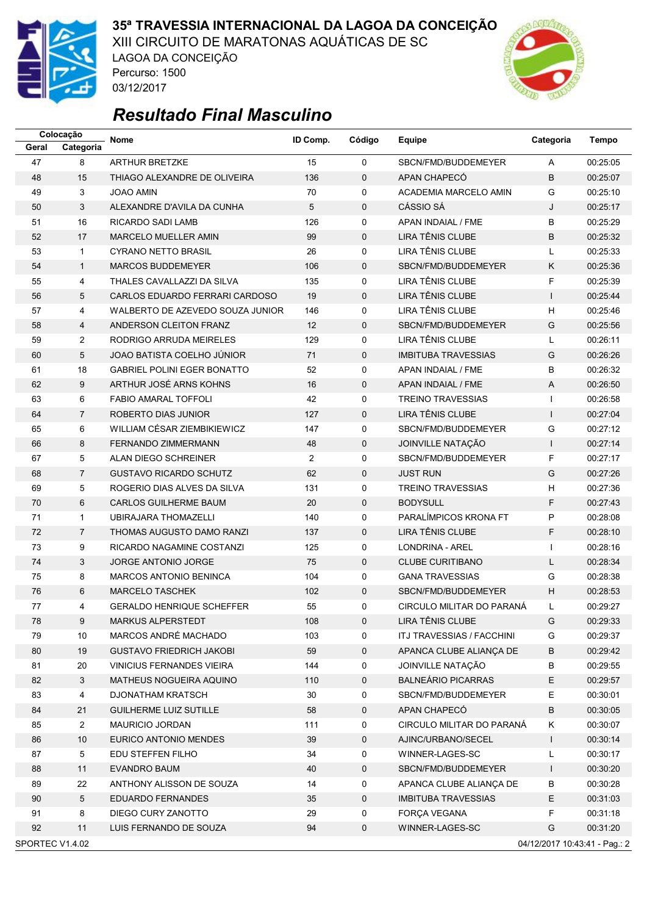

03/12/2017

### **35ª TRAVESSIA INTERNACIONAL DA LAGOA DA CONCEIÇÃO**

XIII CIRCUITO DE MARATONAS AQUÁTICAS DE SC LAGOA DA CONCEIÇÃO Percurso: 1500



## *Resultado Final Masculino*

| 8<br>47<br><b>ARTHUR BRETZKE</b><br>15<br>$\mathbf 0$<br>00:25:05<br>SBCN/FMD/BUDDEMEYER<br>A<br>B<br>48<br>15<br>THIAGO ALEXANDRE DE OLIVEIRA<br>136<br>$\mathbf 0$<br>APAN CHAPECO<br>00:25:07<br>3<br>G<br>00:25:10<br>49<br>70<br>0<br>ACADEMIA MARCELO AMIN<br><b>JOAO AMIN</b><br>3<br>5<br>CÁSSIO SÁ<br>J<br>00:25:17<br>50<br>ALEXANDRE D'AVILA DA CUNHA<br>$\mathbf 0$<br>16<br>B<br>51<br>126<br>0<br>APAN INDAIAL / FME<br>00:25:29<br>RICARDO SADI LAMB<br>LIRA TÊNIS CLUBE<br>B<br>52<br>17<br><b>MARCELO MUELLER AMIN</b><br>99<br>$\mathbf 0$<br>00:25:32<br>LIRA TÊNIS CLUBE<br>53<br><b>CYRANO NETTO BRASIL</b><br>26<br>0<br>L<br>00:25:33<br>$\mathbf{1}$<br>54<br>$\mathbf{1}$<br><b>MARCOS BUDDEMEYER</b><br>106<br>$\mathbf 0$<br>SBCN/FMD/BUDDEMEYER<br>Κ<br>00:25:36<br>F<br>LIRA TÊNIS CLUBE<br>0<br>00:25:39<br>55<br>4<br>THALES CAVALLAZZI DA SILVA<br>135<br>LIRA TÊNIS CLUBE<br>5<br>$\mathbf{I}$<br>00:25:44<br>56<br>CARLOS EDUARDO FERRARI CARDOSO<br>19<br>$\mathbf 0$<br>LIRA TÊNIS CLUBE<br>57<br>00:25:46<br>4<br>WALBERTO DE AZEVEDO SOUZA JUNIOR<br>146<br>0<br>н<br>SBCN/FMD/BUDDEMEYER<br>G<br>00:25:56<br>58<br>4<br>ANDERSON CLEITON FRANZ<br>12<br>$\mathbf 0$<br>$\overline{2}$<br>LIRA TÊNIS CLUBE<br>59<br>RODRIGO ARRUDA MEIRELES<br>129<br>0<br>Г<br>00:26:11<br>5<br>JOAO BATISTA COELHO JÚNIOR<br>G<br>00:26:26<br>60<br>71<br>$\mathbf 0$<br><b>IMBITUBA TRAVESSIAS</b><br>18<br><b>GABRIEL POLINI EGER BONATTO</b><br>52<br>B<br>00:26:32<br>61<br>0<br>APAN INDAIAL / FME<br>62<br>9<br>ARTHUR JOSÉ ARNS KOHNS<br>16<br>$\mathbf 0$<br>00:26:50<br>APAN INDAIAL / FME<br>A<br>6<br><b>FABIO AMARAL TOFFOLI</b><br>42<br><b>TREINO TRAVESSIAS</b><br>00:26:58<br>63<br>0<br>$\mathbf{I}$<br><b>LIRA TÊNIS CLUBE</b><br>$\overline{7}$<br>ROBERTO DIAS JUNIOR<br>00:27:04<br>64<br>127<br>$\mathbf 0$<br>$\mathbf{I}$<br>WILLIAM CÉSAR ZIEMBIKIEWICZ<br>65<br>6<br>147<br>SBCN/FMD/BUDDEMEYER<br>G<br>00:27:12<br>0<br>66<br>8<br>48<br>$\mathbf 0$<br>JOINVILLE NATAÇÃO<br>$\mathbf{I}$<br>00:27:14<br><b>FERNANDO ZIMMERMANN</b><br>F<br>5<br>ALAN DIEGO SCHREINER<br>$\overline{2}$<br>SBCN/FMD/BUDDEMEYER<br>00:27:17<br>67<br>0<br>$\overline{7}$<br>62<br>$\mathbf 0$<br><b>JUST RUN</b><br>G<br>00:27:26<br>68<br><b>GUSTAVO RICARDO SCHUTZ</b><br>5<br>H<br>131<br>0<br>00:27:36<br>69<br>ROGERIO DIAS ALVES DA SILVA<br><b>TREINO TRAVESSIAS</b><br>F<br>6<br>$\mathbf 0$<br><b>BODYSULL</b><br>70<br><b>CARLOS GUILHERME BAUM</b><br>20<br>00:27:43<br>PARALÍMPICOS KRONA FT<br>P<br>$\mathbf{1}$<br>$\mathbf 0$<br>00:28:08<br>71<br><b>UBIRAJARA THOMAZELLI</b><br>140<br>LIRA TÊNIS CLUBE<br>F<br>72<br>$\overline{7}$<br>00:28:10<br>THOMAS AUGUSTO DAMO RANZI<br>137<br>$\mathbf 0$<br>73<br>9<br>125<br>$\mathbf 0$<br><b>LONDRINA - AREL</b><br>00:28:16<br>RICARDO NAGAMINE COSTANZI<br>$\mathbf{I}$<br>3<br>74<br><b>JORGE ANTONIO JORGE</b><br>75<br>$\mathbf 0$<br><b>CLUBE CURITIBANO</b><br>Г<br>00:28:34<br>75<br>8<br>104<br><b>GANA TRAVESSIAS</b><br>G<br>00:28:38<br><b>MARCOS ANTONIO BENINCA</b><br>0<br>6<br>H<br>00:28:53<br>76<br><b>MARCELO TASCHEK</b><br>102<br>$\mathbf 0$<br>SBCN/FMD/BUDDEMEYER<br>55<br>00:29:27<br>77<br>4<br><b>GERALDO HENRIQUE SCHEFFER</b><br>0<br>CIRCULO MILITAR DO PARANÁ<br>L<br>LIRA TÊNIS CLUBE<br>MARKUS ALPERSTEDT<br>00:29:33<br>78<br>9<br>108<br>0<br>G<br>79<br>MARCOS ANDRÉ MACHADO<br>103<br>ITJ TRAVESSIAS / FACCHINI<br>00:29:37<br>10<br>G<br>0<br>80<br>19<br>59<br>$\mathsf 0$<br>В<br>00:29:42<br><b>GUSTAVO FRIEDRICH JAKOBI</b><br>APANCA CLUBE ALIANCA DE<br>JOINVILLE NATAÇÃO<br>В<br>81<br>20<br><b>VINICIUS FERNANDES VIEIRA</b><br>144<br>0<br>00:29:55<br><b>BALNEÁRIO PICARRAS</b><br>E<br>82<br>3<br><b>MATHEUS NOGUEIRA AQUINO</b><br>0<br>110<br>00:29:57<br>83<br>30<br>SBCN/FMD/BUDDEMEYER<br>E<br>00:30:01<br>4<br>DJONATHAM KRATSCH<br>0<br>B<br>84<br>21<br><b>GUILHERME LUIZ SUTILLE</b><br>58<br>$\mathbf 0$<br>APAN CHAPECÓ<br>00:30:05<br>85<br>$\overline{2}$<br>111<br>CIRCULO MILITAR DO PARANÁ<br>Κ<br><b>MAURICIO JORDAN</b><br>0<br>00:30:07<br>86<br>10<br>EURICO ANTONIO MENDES<br>39<br>$\mathbf 0$<br>AJINC/URBANO/SECEL<br>$\mathsf{I}$<br>00:30:14<br>87<br>5<br>EDU STEFFEN FILHO<br>34<br>0<br>WINNER-LAGES-SC<br>L<br>00:30:17<br>88<br>11<br>EVANDRO BAUM<br>40<br>$\mathbf 0$<br>SBCN/FMD/BUDDEMEYER<br>$\mathbf{I}$<br>00:30:20<br>89<br>22<br>ANTHONY ALISSON DE SOUZA<br>14<br>0<br>APANCA CLUBE ALIANÇA DE<br>В<br>00:30:28<br>90<br>5<br><b>EDUARDO FERNANDES</b><br>$\mathbf 0$<br><b>IMBITUBA TRAVESSIAS</b><br>E<br>00:31:03<br>35<br>F<br>91<br>8<br>29<br>DIEGO CURY ZANOTTO<br>0<br><b>FORÇA VEGANA</b><br>00:31:18<br>G<br>11<br>$\pmb{0}$<br>92<br>LUIS FERNANDO DE SOUZA<br>94<br>WINNER-LAGES-SC<br>00:31:20<br>SPORTEC V1.4.02<br>04/12/2017 10:43:41 - Pag.: 2 |       | Colocação | <b>Nome</b> | ID Comp. | Código | Equipe | Categoria | <b>Tempo</b> |
|------------------------------------------------------------------------------------------------------------------------------------------------------------------------------------------------------------------------------------------------------------------------------------------------------------------------------------------------------------------------------------------------------------------------------------------------------------------------------------------------------------------------------------------------------------------------------------------------------------------------------------------------------------------------------------------------------------------------------------------------------------------------------------------------------------------------------------------------------------------------------------------------------------------------------------------------------------------------------------------------------------------------------------------------------------------------------------------------------------------------------------------------------------------------------------------------------------------------------------------------------------------------------------------------------------------------------------------------------------------------------------------------------------------------------------------------------------------------------------------------------------------------------------------------------------------------------------------------------------------------------------------------------------------------------------------------------------------------------------------------------------------------------------------------------------------------------------------------------------------------------------------------------------------------------------------------------------------------------------------------------------------------------------------------------------------------------------------------------------------------------------------------------------------------------------------------------------------------------------------------------------------------------------------------------------------------------------------------------------------------------------------------------------------------------------------------------------------------------------------------------------------------------------------------------------------------------------------------------------------------------------------------------------------------------------------------------------------------------------------------------------------------------------------------------------------------------------------------------------------------------------------------------------------------------------------------------------------------------------------------------------------------------------------------------------------------------------------------------------------------------------------------------------------------------------------------------------------------------------------------------------------------------------------------------------------------------------------------------------------------------------------------------------------------------------------------------------------------------------------------------------------------------------------------------------------------------------------------------------------------------------------------------------------------------------------------------------------------------------------------------------------------------------------------------------------------------------------------------------------------------------------------------------------------------------------------------------------------------------------------------------------------------------------------------------------------------------------------------------------------------------------------------------------------------------------------------------------------------------------------------------------------------------------------------------------------------------------------------------------------------------------------------------------------------------------------------------------------------------------------------------------------------------------------------------------------------------------------------------------------------------------------------------------------------------------------------------------------------------------------------------------------------------------------------------------------------------------------------------|-------|-----------|-------------|----------|--------|--------|-----------|--------------|
|                                                                                                                                                                                                                                                                                                                                                                                                                                                                                                                                                                                                                                                                                                                                                                                                                                                                                                                                                                                                                                                                                                                                                                                                                                                                                                                                                                                                                                                                                                                                                                                                                                                                                                                                                                                                                                                                                                                                                                                                                                                                                                                                                                                                                                                                                                                                                                                                                                                                                                                                                                                                                                                                                                                                                                                                                                                                                                                                                                                                                                                                                                                                                                                                                                                                                                                                                                                                                                                                                                                                                                                                                                                                                                                                                                                                                                                                                                                                                                                                                                                                                                                                                                                                                                                                                                                                                                                                                                                                                                                                                                                                                                                                                                                                                                                                                                                            | Geral | Categoria |             |          |        |        |           |              |
|                                                                                                                                                                                                                                                                                                                                                                                                                                                                                                                                                                                                                                                                                                                                                                                                                                                                                                                                                                                                                                                                                                                                                                                                                                                                                                                                                                                                                                                                                                                                                                                                                                                                                                                                                                                                                                                                                                                                                                                                                                                                                                                                                                                                                                                                                                                                                                                                                                                                                                                                                                                                                                                                                                                                                                                                                                                                                                                                                                                                                                                                                                                                                                                                                                                                                                                                                                                                                                                                                                                                                                                                                                                                                                                                                                                                                                                                                                                                                                                                                                                                                                                                                                                                                                                                                                                                                                                                                                                                                                                                                                                                                                                                                                                                                                                                                                                            |       |           |             |          |        |        |           |              |
|                                                                                                                                                                                                                                                                                                                                                                                                                                                                                                                                                                                                                                                                                                                                                                                                                                                                                                                                                                                                                                                                                                                                                                                                                                                                                                                                                                                                                                                                                                                                                                                                                                                                                                                                                                                                                                                                                                                                                                                                                                                                                                                                                                                                                                                                                                                                                                                                                                                                                                                                                                                                                                                                                                                                                                                                                                                                                                                                                                                                                                                                                                                                                                                                                                                                                                                                                                                                                                                                                                                                                                                                                                                                                                                                                                                                                                                                                                                                                                                                                                                                                                                                                                                                                                                                                                                                                                                                                                                                                                                                                                                                                                                                                                                                                                                                                                                            |       |           |             |          |        |        |           |              |
|                                                                                                                                                                                                                                                                                                                                                                                                                                                                                                                                                                                                                                                                                                                                                                                                                                                                                                                                                                                                                                                                                                                                                                                                                                                                                                                                                                                                                                                                                                                                                                                                                                                                                                                                                                                                                                                                                                                                                                                                                                                                                                                                                                                                                                                                                                                                                                                                                                                                                                                                                                                                                                                                                                                                                                                                                                                                                                                                                                                                                                                                                                                                                                                                                                                                                                                                                                                                                                                                                                                                                                                                                                                                                                                                                                                                                                                                                                                                                                                                                                                                                                                                                                                                                                                                                                                                                                                                                                                                                                                                                                                                                                                                                                                                                                                                                                                            |       |           |             |          |        |        |           |              |
|                                                                                                                                                                                                                                                                                                                                                                                                                                                                                                                                                                                                                                                                                                                                                                                                                                                                                                                                                                                                                                                                                                                                                                                                                                                                                                                                                                                                                                                                                                                                                                                                                                                                                                                                                                                                                                                                                                                                                                                                                                                                                                                                                                                                                                                                                                                                                                                                                                                                                                                                                                                                                                                                                                                                                                                                                                                                                                                                                                                                                                                                                                                                                                                                                                                                                                                                                                                                                                                                                                                                                                                                                                                                                                                                                                                                                                                                                                                                                                                                                                                                                                                                                                                                                                                                                                                                                                                                                                                                                                                                                                                                                                                                                                                                                                                                                                                            |       |           |             |          |        |        |           |              |
|                                                                                                                                                                                                                                                                                                                                                                                                                                                                                                                                                                                                                                                                                                                                                                                                                                                                                                                                                                                                                                                                                                                                                                                                                                                                                                                                                                                                                                                                                                                                                                                                                                                                                                                                                                                                                                                                                                                                                                                                                                                                                                                                                                                                                                                                                                                                                                                                                                                                                                                                                                                                                                                                                                                                                                                                                                                                                                                                                                                                                                                                                                                                                                                                                                                                                                                                                                                                                                                                                                                                                                                                                                                                                                                                                                                                                                                                                                                                                                                                                                                                                                                                                                                                                                                                                                                                                                                                                                                                                                                                                                                                                                                                                                                                                                                                                                                            |       |           |             |          |        |        |           |              |
|                                                                                                                                                                                                                                                                                                                                                                                                                                                                                                                                                                                                                                                                                                                                                                                                                                                                                                                                                                                                                                                                                                                                                                                                                                                                                                                                                                                                                                                                                                                                                                                                                                                                                                                                                                                                                                                                                                                                                                                                                                                                                                                                                                                                                                                                                                                                                                                                                                                                                                                                                                                                                                                                                                                                                                                                                                                                                                                                                                                                                                                                                                                                                                                                                                                                                                                                                                                                                                                                                                                                                                                                                                                                                                                                                                                                                                                                                                                                                                                                                                                                                                                                                                                                                                                                                                                                                                                                                                                                                                                                                                                                                                                                                                                                                                                                                                                            |       |           |             |          |        |        |           |              |
|                                                                                                                                                                                                                                                                                                                                                                                                                                                                                                                                                                                                                                                                                                                                                                                                                                                                                                                                                                                                                                                                                                                                                                                                                                                                                                                                                                                                                                                                                                                                                                                                                                                                                                                                                                                                                                                                                                                                                                                                                                                                                                                                                                                                                                                                                                                                                                                                                                                                                                                                                                                                                                                                                                                                                                                                                                                                                                                                                                                                                                                                                                                                                                                                                                                                                                                                                                                                                                                                                                                                                                                                                                                                                                                                                                                                                                                                                                                                                                                                                                                                                                                                                                                                                                                                                                                                                                                                                                                                                                                                                                                                                                                                                                                                                                                                                                                            |       |           |             |          |        |        |           |              |
|                                                                                                                                                                                                                                                                                                                                                                                                                                                                                                                                                                                                                                                                                                                                                                                                                                                                                                                                                                                                                                                                                                                                                                                                                                                                                                                                                                                                                                                                                                                                                                                                                                                                                                                                                                                                                                                                                                                                                                                                                                                                                                                                                                                                                                                                                                                                                                                                                                                                                                                                                                                                                                                                                                                                                                                                                                                                                                                                                                                                                                                                                                                                                                                                                                                                                                                                                                                                                                                                                                                                                                                                                                                                                                                                                                                                                                                                                                                                                                                                                                                                                                                                                                                                                                                                                                                                                                                                                                                                                                                                                                                                                                                                                                                                                                                                                                                            |       |           |             |          |        |        |           |              |
|                                                                                                                                                                                                                                                                                                                                                                                                                                                                                                                                                                                                                                                                                                                                                                                                                                                                                                                                                                                                                                                                                                                                                                                                                                                                                                                                                                                                                                                                                                                                                                                                                                                                                                                                                                                                                                                                                                                                                                                                                                                                                                                                                                                                                                                                                                                                                                                                                                                                                                                                                                                                                                                                                                                                                                                                                                                                                                                                                                                                                                                                                                                                                                                                                                                                                                                                                                                                                                                                                                                                                                                                                                                                                                                                                                                                                                                                                                                                                                                                                                                                                                                                                                                                                                                                                                                                                                                                                                                                                                                                                                                                                                                                                                                                                                                                                                                            |       |           |             |          |        |        |           |              |
|                                                                                                                                                                                                                                                                                                                                                                                                                                                                                                                                                                                                                                                                                                                                                                                                                                                                                                                                                                                                                                                                                                                                                                                                                                                                                                                                                                                                                                                                                                                                                                                                                                                                                                                                                                                                                                                                                                                                                                                                                                                                                                                                                                                                                                                                                                                                                                                                                                                                                                                                                                                                                                                                                                                                                                                                                                                                                                                                                                                                                                                                                                                                                                                                                                                                                                                                                                                                                                                                                                                                                                                                                                                                                                                                                                                                                                                                                                                                                                                                                                                                                                                                                                                                                                                                                                                                                                                                                                                                                                                                                                                                                                                                                                                                                                                                                                                            |       |           |             |          |        |        |           |              |
|                                                                                                                                                                                                                                                                                                                                                                                                                                                                                                                                                                                                                                                                                                                                                                                                                                                                                                                                                                                                                                                                                                                                                                                                                                                                                                                                                                                                                                                                                                                                                                                                                                                                                                                                                                                                                                                                                                                                                                                                                                                                                                                                                                                                                                                                                                                                                                                                                                                                                                                                                                                                                                                                                                                                                                                                                                                                                                                                                                                                                                                                                                                                                                                                                                                                                                                                                                                                                                                                                                                                                                                                                                                                                                                                                                                                                                                                                                                                                                                                                                                                                                                                                                                                                                                                                                                                                                                                                                                                                                                                                                                                                                                                                                                                                                                                                                                            |       |           |             |          |        |        |           |              |
|                                                                                                                                                                                                                                                                                                                                                                                                                                                                                                                                                                                                                                                                                                                                                                                                                                                                                                                                                                                                                                                                                                                                                                                                                                                                                                                                                                                                                                                                                                                                                                                                                                                                                                                                                                                                                                                                                                                                                                                                                                                                                                                                                                                                                                                                                                                                                                                                                                                                                                                                                                                                                                                                                                                                                                                                                                                                                                                                                                                                                                                                                                                                                                                                                                                                                                                                                                                                                                                                                                                                                                                                                                                                                                                                                                                                                                                                                                                                                                                                                                                                                                                                                                                                                                                                                                                                                                                                                                                                                                                                                                                                                                                                                                                                                                                                                                                            |       |           |             |          |        |        |           |              |
|                                                                                                                                                                                                                                                                                                                                                                                                                                                                                                                                                                                                                                                                                                                                                                                                                                                                                                                                                                                                                                                                                                                                                                                                                                                                                                                                                                                                                                                                                                                                                                                                                                                                                                                                                                                                                                                                                                                                                                                                                                                                                                                                                                                                                                                                                                                                                                                                                                                                                                                                                                                                                                                                                                                                                                                                                                                                                                                                                                                                                                                                                                                                                                                                                                                                                                                                                                                                                                                                                                                                                                                                                                                                                                                                                                                                                                                                                                                                                                                                                                                                                                                                                                                                                                                                                                                                                                                                                                                                                                                                                                                                                                                                                                                                                                                                                                                            |       |           |             |          |        |        |           |              |
|                                                                                                                                                                                                                                                                                                                                                                                                                                                                                                                                                                                                                                                                                                                                                                                                                                                                                                                                                                                                                                                                                                                                                                                                                                                                                                                                                                                                                                                                                                                                                                                                                                                                                                                                                                                                                                                                                                                                                                                                                                                                                                                                                                                                                                                                                                                                                                                                                                                                                                                                                                                                                                                                                                                                                                                                                                                                                                                                                                                                                                                                                                                                                                                                                                                                                                                                                                                                                                                                                                                                                                                                                                                                                                                                                                                                                                                                                                                                                                                                                                                                                                                                                                                                                                                                                                                                                                                                                                                                                                                                                                                                                                                                                                                                                                                                                                                            |       |           |             |          |        |        |           |              |
|                                                                                                                                                                                                                                                                                                                                                                                                                                                                                                                                                                                                                                                                                                                                                                                                                                                                                                                                                                                                                                                                                                                                                                                                                                                                                                                                                                                                                                                                                                                                                                                                                                                                                                                                                                                                                                                                                                                                                                                                                                                                                                                                                                                                                                                                                                                                                                                                                                                                                                                                                                                                                                                                                                                                                                                                                                                                                                                                                                                                                                                                                                                                                                                                                                                                                                                                                                                                                                                                                                                                                                                                                                                                                                                                                                                                                                                                                                                                                                                                                                                                                                                                                                                                                                                                                                                                                                                                                                                                                                                                                                                                                                                                                                                                                                                                                                                            |       |           |             |          |        |        |           |              |
|                                                                                                                                                                                                                                                                                                                                                                                                                                                                                                                                                                                                                                                                                                                                                                                                                                                                                                                                                                                                                                                                                                                                                                                                                                                                                                                                                                                                                                                                                                                                                                                                                                                                                                                                                                                                                                                                                                                                                                                                                                                                                                                                                                                                                                                                                                                                                                                                                                                                                                                                                                                                                                                                                                                                                                                                                                                                                                                                                                                                                                                                                                                                                                                                                                                                                                                                                                                                                                                                                                                                                                                                                                                                                                                                                                                                                                                                                                                                                                                                                                                                                                                                                                                                                                                                                                                                                                                                                                                                                                                                                                                                                                                                                                                                                                                                                                                            |       |           |             |          |        |        |           |              |
|                                                                                                                                                                                                                                                                                                                                                                                                                                                                                                                                                                                                                                                                                                                                                                                                                                                                                                                                                                                                                                                                                                                                                                                                                                                                                                                                                                                                                                                                                                                                                                                                                                                                                                                                                                                                                                                                                                                                                                                                                                                                                                                                                                                                                                                                                                                                                                                                                                                                                                                                                                                                                                                                                                                                                                                                                                                                                                                                                                                                                                                                                                                                                                                                                                                                                                                                                                                                                                                                                                                                                                                                                                                                                                                                                                                                                                                                                                                                                                                                                                                                                                                                                                                                                                                                                                                                                                                                                                                                                                                                                                                                                                                                                                                                                                                                                                                            |       |           |             |          |        |        |           |              |
|                                                                                                                                                                                                                                                                                                                                                                                                                                                                                                                                                                                                                                                                                                                                                                                                                                                                                                                                                                                                                                                                                                                                                                                                                                                                                                                                                                                                                                                                                                                                                                                                                                                                                                                                                                                                                                                                                                                                                                                                                                                                                                                                                                                                                                                                                                                                                                                                                                                                                                                                                                                                                                                                                                                                                                                                                                                                                                                                                                                                                                                                                                                                                                                                                                                                                                                                                                                                                                                                                                                                                                                                                                                                                                                                                                                                                                                                                                                                                                                                                                                                                                                                                                                                                                                                                                                                                                                                                                                                                                                                                                                                                                                                                                                                                                                                                                                            |       |           |             |          |        |        |           |              |
|                                                                                                                                                                                                                                                                                                                                                                                                                                                                                                                                                                                                                                                                                                                                                                                                                                                                                                                                                                                                                                                                                                                                                                                                                                                                                                                                                                                                                                                                                                                                                                                                                                                                                                                                                                                                                                                                                                                                                                                                                                                                                                                                                                                                                                                                                                                                                                                                                                                                                                                                                                                                                                                                                                                                                                                                                                                                                                                                                                                                                                                                                                                                                                                                                                                                                                                                                                                                                                                                                                                                                                                                                                                                                                                                                                                                                                                                                                                                                                                                                                                                                                                                                                                                                                                                                                                                                                                                                                                                                                                                                                                                                                                                                                                                                                                                                                                            |       |           |             |          |        |        |           |              |
|                                                                                                                                                                                                                                                                                                                                                                                                                                                                                                                                                                                                                                                                                                                                                                                                                                                                                                                                                                                                                                                                                                                                                                                                                                                                                                                                                                                                                                                                                                                                                                                                                                                                                                                                                                                                                                                                                                                                                                                                                                                                                                                                                                                                                                                                                                                                                                                                                                                                                                                                                                                                                                                                                                                                                                                                                                                                                                                                                                                                                                                                                                                                                                                                                                                                                                                                                                                                                                                                                                                                                                                                                                                                                                                                                                                                                                                                                                                                                                                                                                                                                                                                                                                                                                                                                                                                                                                                                                                                                                                                                                                                                                                                                                                                                                                                                                                            |       |           |             |          |        |        |           |              |
|                                                                                                                                                                                                                                                                                                                                                                                                                                                                                                                                                                                                                                                                                                                                                                                                                                                                                                                                                                                                                                                                                                                                                                                                                                                                                                                                                                                                                                                                                                                                                                                                                                                                                                                                                                                                                                                                                                                                                                                                                                                                                                                                                                                                                                                                                                                                                                                                                                                                                                                                                                                                                                                                                                                                                                                                                                                                                                                                                                                                                                                                                                                                                                                                                                                                                                                                                                                                                                                                                                                                                                                                                                                                                                                                                                                                                                                                                                                                                                                                                                                                                                                                                                                                                                                                                                                                                                                                                                                                                                                                                                                                                                                                                                                                                                                                                                                            |       |           |             |          |        |        |           |              |
|                                                                                                                                                                                                                                                                                                                                                                                                                                                                                                                                                                                                                                                                                                                                                                                                                                                                                                                                                                                                                                                                                                                                                                                                                                                                                                                                                                                                                                                                                                                                                                                                                                                                                                                                                                                                                                                                                                                                                                                                                                                                                                                                                                                                                                                                                                                                                                                                                                                                                                                                                                                                                                                                                                                                                                                                                                                                                                                                                                                                                                                                                                                                                                                                                                                                                                                                                                                                                                                                                                                                                                                                                                                                                                                                                                                                                                                                                                                                                                                                                                                                                                                                                                                                                                                                                                                                                                                                                                                                                                                                                                                                                                                                                                                                                                                                                                                            |       |           |             |          |        |        |           |              |
|                                                                                                                                                                                                                                                                                                                                                                                                                                                                                                                                                                                                                                                                                                                                                                                                                                                                                                                                                                                                                                                                                                                                                                                                                                                                                                                                                                                                                                                                                                                                                                                                                                                                                                                                                                                                                                                                                                                                                                                                                                                                                                                                                                                                                                                                                                                                                                                                                                                                                                                                                                                                                                                                                                                                                                                                                                                                                                                                                                                                                                                                                                                                                                                                                                                                                                                                                                                                                                                                                                                                                                                                                                                                                                                                                                                                                                                                                                                                                                                                                                                                                                                                                                                                                                                                                                                                                                                                                                                                                                                                                                                                                                                                                                                                                                                                                                                            |       |           |             |          |        |        |           |              |
|                                                                                                                                                                                                                                                                                                                                                                                                                                                                                                                                                                                                                                                                                                                                                                                                                                                                                                                                                                                                                                                                                                                                                                                                                                                                                                                                                                                                                                                                                                                                                                                                                                                                                                                                                                                                                                                                                                                                                                                                                                                                                                                                                                                                                                                                                                                                                                                                                                                                                                                                                                                                                                                                                                                                                                                                                                                                                                                                                                                                                                                                                                                                                                                                                                                                                                                                                                                                                                                                                                                                                                                                                                                                                                                                                                                                                                                                                                                                                                                                                                                                                                                                                                                                                                                                                                                                                                                                                                                                                                                                                                                                                                                                                                                                                                                                                                                            |       |           |             |          |        |        |           |              |
|                                                                                                                                                                                                                                                                                                                                                                                                                                                                                                                                                                                                                                                                                                                                                                                                                                                                                                                                                                                                                                                                                                                                                                                                                                                                                                                                                                                                                                                                                                                                                                                                                                                                                                                                                                                                                                                                                                                                                                                                                                                                                                                                                                                                                                                                                                                                                                                                                                                                                                                                                                                                                                                                                                                                                                                                                                                                                                                                                                                                                                                                                                                                                                                                                                                                                                                                                                                                                                                                                                                                                                                                                                                                                                                                                                                                                                                                                                                                                                                                                                                                                                                                                                                                                                                                                                                                                                                                                                                                                                                                                                                                                                                                                                                                                                                                                                                            |       |           |             |          |        |        |           |              |
|                                                                                                                                                                                                                                                                                                                                                                                                                                                                                                                                                                                                                                                                                                                                                                                                                                                                                                                                                                                                                                                                                                                                                                                                                                                                                                                                                                                                                                                                                                                                                                                                                                                                                                                                                                                                                                                                                                                                                                                                                                                                                                                                                                                                                                                                                                                                                                                                                                                                                                                                                                                                                                                                                                                                                                                                                                                                                                                                                                                                                                                                                                                                                                                                                                                                                                                                                                                                                                                                                                                                                                                                                                                                                                                                                                                                                                                                                                                                                                                                                                                                                                                                                                                                                                                                                                                                                                                                                                                                                                                                                                                                                                                                                                                                                                                                                                                            |       |           |             |          |        |        |           |              |
|                                                                                                                                                                                                                                                                                                                                                                                                                                                                                                                                                                                                                                                                                                                                                                                                                                                                                                                                                                                                                                                                                                                                                                                                                                                                                                                                                                                                                                                                                                                                                                                                                                                                                                                                                                                                                                                                                                                                                                                                                                                                                                                                                                                                                                                                                                                                                                                                                                                                                                                                                                                                                                                                                                                                                                                                                                                                                                                                                                                                                                                                                                                                                                                                                                                                                                                                                                                                                                                                                                                                                                                                                                                                                                                                                                                                                                                                                                                                                                                                                                                                                                                                                                                                                                                                                                                                                                                                                                                                                                                                                                                                                                                                                                                                                                                                                                                            |       |           |             |          |        |        |           |              |
|                                                                                                                                                                                                                                                                                                                                                                                                                                                                                                                                                                                                                                                                                                                                                                                                                                                                                                                                                                                                                                                                                                                                                                                                                                                                                                                                                                                                                                                                                                                                                                                                                                                                                                                                                                                                                                                                                                                                                                                                                                                                                                                                                                                                                                                                                                                                                                                                                                                                                                                                                                                                                                                                                                                                                                                                                                                                                                                                                                                                                                                                                                                                                                                                                                                                                                                                                                                                                                                                                                                                                                                                                                                                                                                                                                                                                                                                                                                                                                                                                                                                                                                                                                                                                                                                                                                                                                                                                                                                                                                                                                                                                                                                                                                                                                                                                                                            |       |           |             |          |        |        |           |              |
|                                                                                                                                                                                                                                                                                                                                                                                                                                                                                                                                                                                                                                                                                                                                                                                                                                                                                                                                                                                                                                                                                                                                                                                                                                                                                                                                                                                                                                                                                                                                                                                                                                                                                                                                                                                                                                                                                                                                                                                                                                                                                                                                                                                                                                                                                                                                                                                                                                                                                                                                                                                                                                                                                                                                                                                                                                                                                                                                                                                                                                                                                                                                                                                                                                                                                                                                                                                                                                                                                                                                                                                                                                                                                                                                                                                                                                                                                                                                                                                                                                                                                                                                                                                                                                                                                                                                                                                                                                                                                                                                                                                                                                                                                                                                                                                                                                                            |       |           |             |          |        |        |           |              |
|                                                                                                                                                                                                                                                                                                                                                                                                                                                                                                                                                                                                                                                                                                                                                                                                                                                                                                                                                                                                                                                                                                                                                                                                                                                                                                                                                                                                                                                                                                                                                                                                                                                                                                                                                                                                                                                                                                                                                                                                                                                                                                                                                                                                                                                                                                                                                                                                                                                                                                                                                                                                                                                                                                                                                                                                                                                                                                                                                                                                                                                                                                                                                                                                                                                                                                                                                                                                                                                                                                                                                                                                                                                                                                                                                                                                                                                                                                                                                                                                                                                                                                                                                                                                                                                                                                                                                                                                                                                                                                                                                                                                                                                                                                                                                                                                                                                            |       |           |             |          |        |        |           |              |
|                                                                                                                                                                                                                                                                                                                                                                                                                                                                                                                                                                                                                                                                                                                                                                                                                                                                                                                                                                                                                                                                                                                                                                                                                                                                                                                                                                                                                                                                                                                                                                                                                                                                                                                                                                                                                                                                                                                                                                                                                                                                                                                                                                                                                                                                                                                                                                                                                                                                                                                                                                                                                                                                                                                                                                                                                                                                                                                                                                                                                                                                                                                                                                                                                                                                                                                                                                                                                                                                                                                                                                                                                                                                                                                                                                                                                                                                                                                                                                                                                                                                                                                                                                                                                                                                                                                                                                                                                                                                                                                                                                                                                                                                                                                                                                                                                                                            |       |           |             |          |        |        |           |              |
|                                                                                                                                                                                                                                                                                                                                                                                                                                                                                                                                                                                                                                                                                                                                                                                                                                                                                                                                                                                                                                                                                                                                                                                                                                                                                                                                                                                                                                                                                                                                                                                                                                                                                                                                                                                                                                                                                                                                                                                                                                                                                                                                                                                                                                                                                                                                                                                                                                                                                                                                                                                                                                                                                                                                                                                                                                                                                                                                                                                                                                                                                                                                                                                                                                                                                                                                                                                                                                                                                                                                                                                                                                                                                                                                                                                                                                                                                                                                                                                                                                                                                                                                                                                                                                                                                                                                                                                                                                                                                                                                                                                                                                                                                                                                                                                                                                                            |       |           |             |          |        |        |           |              |
|                                                                                                                                                                                                                                                                                                                                                                                                                                                                                                                                                                                                                                                                                                                                                                                                                                                                                                                                                                                                                                                                                                                                                                                                                                                                                                                                                                                                                                                                                                                                                                                                                                                                                                                                                                                                                                                                                                                                                                                                                                                                                                                                                                                                                                                                                                                                                                                                                                                                                                                                                                                                                                                                                                                                                                                                                                                                                                                                                                                                                                                                                                                                                                                                                                                                                                                                                                                                                                                                                                                                                                                                                                                                                                                                                                                                                                                                                                                                                                                                                                                                                                                                                                                                                                                                                                                                                                                                                                                                                                                                                                                                                                                                                                                                                                                                                                                            |       |           |             |          |        |        |           |              |
|                                                                                                                                                                                                                                                                                                                                                                                                                                                                                                                                                                                                                                                                                                                                                                                                                                                                                                                                                                                                                                                                                                                                                                                                                                                                                                                                                                                                                                                                                                                                                                                                                                                                                                                                                                                                                                                                                                                                                                                                                                                                                                                                                                                                                                                                                                                                                                                                                                                                                                                                                                                                                                                                                                                                                                                                                                                                                                                                                                                                                                                                                                                                                                                                                                                                                                                                                                                                                                                                                                                                                                                                                                                                                                                                                                                                                                                                                                                                                                                                                                                                                                                                                                                                                                                                                                                                                                                                                                                                                                                                                                                                                                                                                                                                                                                                                                                            |       |           |             |          |        |        |           |              |
|                                                                                                                                                                                                                                                                                                                                                                                                                                                                                                                                                                                                                                                                                                                                                                                                                                                                                                                                                                                                                                                                                                                                                                                                                                                                                                                                                                                                                                                                                                                                                                                                                                                                                                                                                                                                                                                                                                                                                                                                                                                                                                                                                                                                                                                                                                                                                                                                                                                                                                                                                                                                                                                                                                                                                                                                                                                                                                                                                                                                                                                                                                                                                                                                                                                                                                                                                                                                                                                                                                                                                                                                                                                                                                                                                                                                                                                                                                                                                                                                                                                                                                                                                                                                                                                                                                                                                                                                                                                                                                                                                                                                                                                                                                                                                                                                                                                            |       |           |             |          |        |        |           |              |
|                                                                                                                                                                                                                                                                                                                                                                                                                                                                                                                                                                                                                                                                                                                                                                                                                                                                                                                                                                                                                                                                                                                                                                                                                                                                                                                                                                                                                                                                                                                                                                                                                                                                                                                                                                                                                                                                                                                                                                                                                                                                                                                                                                                                                                                                                                                                                                                                                                                                                                                                                                                                                                                                                                                                                                                                                                                                                                                                                                                                                                                                                                                                                                                                                                                                                                                                                                                                                                                                                                                                                                                                                                                                                                                                                                                                                                                                                                                                                                                                                                                                                                                                                                                                                                                                                                                                                                                                                                                                                                                                                                                                                                                                                                                                                                                                                                                            |       |           |             |          |        |        |           |              |
|                                                                                                                                                                                                                                                                                                                                                                                                                                                                                                                                                                                                                                                                                                                                                                                                                                                                                                                                                                                                                                                                                                                                                                                                                                                                                                                                                                                                                                                                                                                                                                                                                                                                                                                                                                                                                                                                                                                                                                                                                                                                                                                                                                                                                                                                                                                                                                                                                                                                                                                                                                                                                                                                                                                                                                                                                                                                                                                                                                                                                                                                                                                                                                                                                                                                                                                                                                                                                                                                                                                                                                                                                                                                                                                                                                                                                                                                                                                                                                                                                                                                                                                                                                                                                                                                                                                                                                                                                                                                                                                                                                                                                                                                                                                                                                                                                                                            |       |           |             |          |        |        |           |              |
|                                                                                                                                                                                                                                                                                                                                                                                                                                                                                                                                                                                                                                                                                                                                                                                                                                                                                                                                                                                                                                                                                                                                                                                                                                                                                                                                                                                                                                                                                                                                                                                                                                                                                                                                                                                                                                                                                                                                                                                                                                                                                                                                                                                                                                                                                                                                                                                                                                                                                                                                                                                                                                                                                                                                                                                                                                                                                                                                                                                                                                                                                                                                                                                                                                                                                                                                                                                                                                                                                                                                                                                                                                                                                                                                                                                                                                                                                                                                                                                                                                                                                                                                                                                                                                                                                                                                                                                                                                                                                                                                                                                                                                                                                                                                                                                                                                                            |       |           |             |          |        |        |           |              |
|                                                                                                                                                                                                                                                                                                                                                                                                                                                                                                                                                                                                                                                                                                                                                                                                                                                                                                                                                                                                                                                                                                                                                                                                                                                                                                                                                                                                                                                                                                                                                                                                                                                                                                                                                                                                                                                                                                                                                                                                                                                                                                                                                                                                                                                                                                                                                                                                                                                                                                                                                                                                                                                                                                                                                                                                                                                                                                                                                                                                                                                                                                                                                                                                                                                                                                                                                                                                                                                                                                                                                                                                                                                                                                                                                                                                                                                                                                                                                                                                                                                                                                                                                                                                                                                                                                                                                                                                                                                                                                                                                                                                                                                                                                                                                                                                                                                            |       |           |             |          |        |        |           |              |
|                                                                                                                                                                                                                                                                                                                                                                                                                                                                                                                                                                                                                                                                                                                                                                                                                                                                                                                                                                                                                                                                                                                                                                                                                                                                                                                                                                                                                                                                                                                                                                                                                                                                                                                                                                                                                                                                                                                                                                                                                                                                                                                                                                                                                                                                                                                                                                                                                                                                                                                                                                                                                                                                                                                                                                                                                                                                                                                                                                                                                                                                                                                                                                                                                                                                                                                                                                                                                                                                                                                                                                                                                                                                                                                                                                                                                                                                                                                                                                                                                                                                                                                                                                                                                                                                                                                                                                                                                                                                                                                                                                                                                                                                                                                                                                                                                                                            |       |           |             |          |        |        |           |              |
|                                                                                                                                                                                                                                                                                                                                                                                                                                                                                                                                                                                                                                                                                                                                                                                                                                                                                                                                                                                                                                                                                                                                                                                                                                                                                                                                                                                                                                                                                                                                                                                                                                                                                                                                                                                                                                                                                                                                                                                                                                                                                                                                                                                                                                                                                                                                                                                                                                                                                                                                                                                                                                                                                                                                                                                                                                                                                                                                                                                                                                                                                                                                                                                                                                                                                                                                                                                                                                                                                                                                                                                                                                                                                                                                                                                                                                                                                                                                                                                                                                                                                                                                                                                                                                                                                                                                                                                                                                                                                                                                                                                                                                                                                                                                                                                                                                                            |       |           |             |          |        |        |           |              |
|                                                                                                                                                                                                                                                                                                                                                                                                                                                                                                                                                                                                                                                                                                                                                                                                                                                                                                                                                                                                                                                                                                                                                                                                                                                                                                                                                                                                                                                                                                                                                                                                                                                                                                                                                                                                                                                                                                                                                                                                                                                                                                                                                                                                                                                                                                                                                                                                                                                                                                                                                                                                                                                                                                                                                                                                                                                                                                                                                                                                                                                                                                                                                                                                                                                                                                                                                                                                                                                                                                                                                                                                                                                                                                                                                                                                                                                                                                                                                                                                                                                                                                                                                                                                                                                                                                                                                                                                                                                                                                                                                                                                                                                                                                                                                                                                                                                            |       |           |             |          |        |        |           |              |
|                                                                                                                                                                                                                                                                                                                                                                                                                                                                                                                                                                                                                                                                                                                                                                                                                                                                                                                                                                                                                                                                                                                                                                                                                                                                                                                                                                                                                                                                                                                                                                                                                                                                                                                                                                                                                                                                                                                                                                                                                                                                                                                                                                                                                                                                                                                                                                                                                                                                                                                                                                                                                                                                                                                                                                                                                                                                                                                                                                                                                                                                                                                                                                                                                                                                                                                                                                                                                                                                                                                                                                                                                                                                                                                                                                                                                                                                                                                                                                                                                                                                                                                                                                                                                                                                                                                                                                                                                                                                                                                                                                                                                                                                                                                                                                                                                                                            |       |           |             |          |        |        |           |              |
|                                                                                                                                                                                                                                                                                                                                                                                                                                                                                                                                                                                                                                                                                                                                                                                                                                                                                                                                                                                                                                                                                                                                                                                                                                                                                                                                                                                                                                                                                                                                                                                                                                                                                                                                                                                                                                                                                                                                                                                                                                                                                                                                                                                                                                                                                                                                                                                                                                                                                                                                                                                                                                                                                                                                                                                                                                                                                                                                                                                                                                                                                                                                                                                                                                                                                                                                                                                                                                                                                                                                                                                                                                                                                                                                                                                                                                                                                                                                                                                                                                                                                                                                                                                                                                                                                                                                                                                                                                                                                                                                                                                                                                                                                                                                                                                                                                                            |       |           |             |          |        |        |           |              |
|                                                                                                                                                                                                                                                                                                                                                                                                                                                                                                                                                                                                                                                                                                                                                                                                                                                                                                                                                                                                                                                                                                                                                                                                                                                                                                                                                                                                                                                                                                                                                                                                                                                                                                                                                                                                                                                                                                                                                                                                                                                                                                                                                                                                                                                                                                                                                                                                                                                                                                                                                                                                                                                                                                                                                                                                                                                                                                                                                                                                                                                                                                                                                                                                                                                                                                                                                                                                                                                                                                                                                                                                                                                                                                                                                                                                                                                                                                                                                                                                                                                                                                                                                                                                                                                                                                                                                                                                                                                                                                                                                                                                                                                                                                                                                                                                                                                            |       |           |             |          |        |        |           |              |
|                                                                                                                                                                                                                                                                                                                                                                                                                                                                                                                                                                                                                                                                                                                                                                                                                                                                                                                                                                                                                                                                                                                                                                                                                                                                                                                                                                                                                                                                                                                                                                                                                                                                                                                                                                                                                                                                                                                                                                                                                                                                                                                                                                                                                                                                                                                                                                                                                                                                                                                                                                                                                                                                                                                                                                                                                                                                                                                                                                                                                                                                                                                                                                                                                                                                                                                                                                                                                                                                                                                                                                                                                                                                                                                                                                                                                                                                                                                                                                                                                                                                                                                                                                                                                                                                                                                                                                                                                                                                                                                                                                                                                                                                                                                                                                                                                                                            |       |           |             |          |        |        |           |              |
|                                                                                                                                                                                                                                                                                                                                                                                                                                                                                                                                                                                                                                                                                                                                                                                                                                                                                                                                                                                                                                                                                                                                                                                                                                                                                                                                                                                                                                                                                                                                                                                                                                                                                                                                                                                                                                                                                                                                                                                                                                                                                                                                                                                                                                                                                                                                                                                                                                                                                                                                                                                                                                                                                                                                                                                                                                                                                                                                                                                                                                                                                                                                                                                                                                                                                                                                                                                                                                                                                                                                                                                                                                                                                                                                                                                                                                                                                                                                                                                                                                                                                                                                                                                                                                                                                                                                                                                                                                                                                                                                                                                                                                                                                                                                                                                                                                                            |       |           |             |          |        |        |           |              |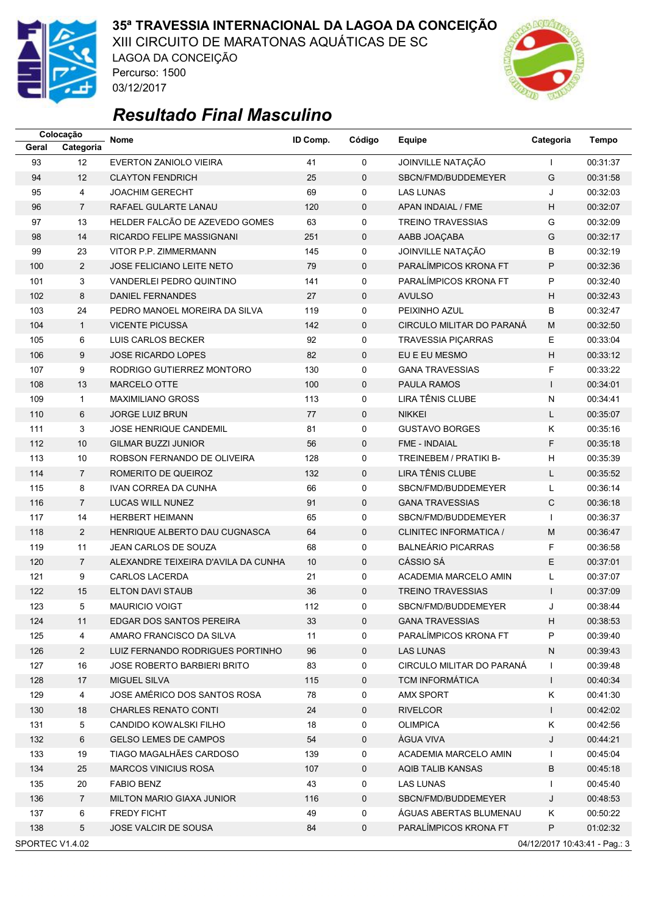

03/12/2017

### **35ª TRAVESSIA INTERNACIONAL DA LAGOA DA CONCEIÇÃO**

XIII CIRCUITO DE MARATONAS AQUÁTICAS DE SC LAGOA DA CONCEIÇÃO Percurso: 1500



## *Resultado Final Masculino*

|       | Colocação                                        | <b>Nome</b>                         | ID Comp. | Código      | Equipe                    | Categoria    | <b>Tempo</b> |  |
|-------|--------------------------------------------------|-------------------------------------|----------|-------------|---------------------------|--------------|--------------|--|
| Geral | Categoria                                        |                                     |          |             |                           |              |              |  |
| 93    | 12                                               | <b>EVERTON ZANIOLO VIEIRA</b>       | 41       | $\mathbf 0$ | JOINVILLE NATAÇÃO         | T            | 00:31:37     |  |
| 94    | 12                                               | <b>CLAYTON FENDRICH</b>             | 25       | 0           | SBCN/FMD/BUDDEMEYER       | G            | 00:31:58     |  |
| 95    | 4                                                | <b>JOACHIM GERECHT</b>              | 69       | 0           | <b>LAS LUNAS</b>          | J            | 00:32:03     |  |
| 96    | $\overline{7}$                                   | RAFAEL GULARTE LANAU                | 120      | 0           | APAN INDAIAL / FME        | Н            | 00:32:07     |  |
| 97    | 13                                               | HELDER FALCÃO DE AZEVEDO GOMES      | 63       | 0           | <b>TREINO TRAVESSIAS</b>  | G            | 00:32:09     |  |
| 98    | 14                                               | RICARDO FELIPE MASSIGNANI           | 251      | 0           | AABB JOAÇABA              | G            | 00:32:17     |  |
| 99    | 23                                               | VITOR P.P. ZIMMERMANN               | 145      | 0           | JOINVILLE NATAÇÃO         | B            | 00:32:19     |  |
| 100   | $\overline{2}$                                   | <b>JOSE FELICIANO LEITE NETO</b>    | 79       | $\mathbf 0$ | PARALÍMPICOS KRONA FT     | P            | 00:32:36     |  |
| 101   | 3                                                | VANDERLEI PEDRO QUINTINO            | 141      | 0           | PARALÍMPICOS KRONA FT     | P            | 00:32:40     |  |
| 102   | 8                                                | DANIEL FERNANDES                    | 27       | 0           | <b>AVULSO</b>             | H            | 00:32:43     |  |
| 103   | 24                                               | PEDRO MANOEL MOREIRA DA SILVA       | 119      | 0           | PEIXINHO AZUL             | B            | 00:32:47     |  |
| 104   | $\mathbf{1}$                                     | <b>VICENTE PICUSSA</b>              | 142      | $\mathbf 0$ | CIRCULO MILITAR DO PARANÁ | M            | 00:32:50     |  |
| 105   | 6                                                | LUIS CARLOS BECKER                  | 92       | 0           | TRAVESSIA PIÇARRAS        | Е            | 00:33:04     |  |
| 106   | 9                                                | <b>JOSE RICARDO LOPES</b>           | 82       | $\mathbf 0$ | EU E EU MESMO             | Н            | 00:33:12     |  |
| 107   | 9                                                | RODRIGO GUTIERREZ MONTORO           | 130      | 0           | <b>GANA TRAVESSIAS</b>    | F            | 00:33:22     |  |
| 108   | 13                                               | <b>MARCELO OTTE</b>                 | 100      | $\mathbf 0$ | <b>PAULA RAMOS</b>        | $\mathbf{I}$ | 00:34:01     |  |
| 109   | $\mathbf{1}$                                     | <b>MAXIMILIANO GROSS</b>            | 113      | 0           | LIRA TÊNIS CLUBE          | $\mathsf{N}$ | 00:34:41     |  |
| 110   | 6                                                | <b>JORGE LUIZ BRUN</b>              | 77       | $\mathbf 0$ | <b>NIKKEI</b>             | L            | 00:35:07     |  |
| 111   | 3                                                | JOSE HENRIQUE CANDEMIL              | 81       | 0           | <b>GUSTAVO BORGES</b>     | Κ            | 00:35:16     |  |
| 112   | $10$                                             | <b>GILMAR BUZZI JUNIOR</b>          | 56       | $\mathbf 0$ | <b>FME - INDAIAL</b>      | F            | 00:35:18     |  |
| 113   | $10$                                             | ROBSON FERNANDO DE OLIVEIRA         | 128      | 0           | TREINEBEM / PRATIKI B-    | H            | 00:35:39     |  |
| 114   | $\overline{7}$                                   | ROMERITO DE QUEIROZ                 | 132      | 0           | LIRA TÊNIS CLUBE          | L            | 00:35:52     |  |
| 115   | 8                                                | <b>IVAN CORREA DA CUNHA</b>         | 66       | 0           | SBCN/FMD/BUDDEMEYER       | L            | 00:36:14     |  |
| 116   | $\overline{7}$                                   | LUCAS WILL NUNEZ                    | 91       | 0           | <b>GANA TRAVESSIAS</b>    | C            | 00:36:18     |  |
| 117   | 14                                               | <b>HERBERT HEIMANN</b>              | 65       | 0           | SBCN/FMD/BUDDEMEYER       | $\mathbf{I}$ | 00:36:37     |  |
| 118   | $\overline{2}$                                   | HENRIQUE ALBERTO DAU CUGNASCA       | 64       | $\mathbf 0$ | CLINITEC INFORMATICA /    | M            | 00:36:47     |  |
| 119   | 11                                               | JEAN CARLOS DE SOUZA                | 68       | 0           | <b>BALNEÁRIO PICARRAS</b> | F            | 00:36:58     |  |
| 120   | $\overline{7}$                                   | ALEXANDRE TEIXEIRA D'AVILA DA CUNHA | 10       | 0           | CÁSSIO SÁ                 | E            | 00:37:01     |  |
| 121   | 9                                                | <b>CARLOS LACERDA</b>               | 21       | 0           | ACADEMIA MARCELO AMIN     | L            | 00:37:07     |  |
| 122   | 15                                               | ELTON DAVI STAUB                    | 36       | $\mathbf 0$ | <b>TREINO TRAVESSIAS</b>  | $\mathsf{I}$ | 00:37:09     |  |
| 123   | 5                                                | <b>MAURICIO VOIGT</b>               | 112      | 0           | SBCN/FMD/BUDDEMEYER       | J            | 00:38:44     |  |
| 124   | 11                                               | EDGAR DOS SANTOS PEREIRA            | 33       | 0           | <b>GANA TRAVESSIAS</b>    | Н,           | 00:38:53     |  |
| 125   | 4                                                | AMARO FRANCISCO DA SILVA            | 11       | 0           | PARALIMPICOS KRONA FT     | P            | 00:39:40     |  |
| 126   | $\overline{2}$                                   | LUIZ FERNANDO RODRIGUES PORTINHO    | 96       | 0           | <b>LAS LUNAS</b>          | N            | 00:39:43     |  |
| 127   | 16                                               | JOSE ROBERTO BARBIERI BRITO         | 83       | 0           | CIRCULO MILITAR DO PARANA | J.           | 00:39:48     |  |
| 128   | 17                                               | <b>MIGUEL SILVA</b>                 | 115      | 0           | <b>TCM INFORMATICA</b>    | T            | 00:40:34     |  |
| 129   | 4                                                | JOSE AMÉRICO DOS SANTOS ROSA        | 78       | 0           | <b>AMX SPORT</b>          | Κ            | 00:41:30     |  |
| 130   | 18                                               | <b>CHARLES RENATO CONTI</b>         | 24       | 0           | <b>RIVELCOR</b>           | $\mathbf{I}$ | 00:42:02     |  |
| 131   | 5                                                | CANDIDO KOWALSKI FILHO              | 18       | 0           | <b>OLIMPICA</b>           | Κ            | 00:42:56     |  |
| 132   | 6                                                | <b>GELSO LEMES DE CAMPOS</b>        | 54       | 0           | ÁGUA VIVA                 | J            | 00:44:21     |  |
| 133   | 19                                               | TIAGO MAGALHÃES CARDOSO             | 139      | 0           | ACADEMIA MARCELO AMIN     | $\mathbf{I}$ | 00:45:04     |  |
| 134   | 25                                               | <b>MARCOS VINICIUS ROSA</b>         | 107      | 0           | AQIB TALIB KANSAS         | B            | 00:45:18     |  |
| 135   | 20                                               | <b>FABIO BENZ</b>                   | 43       | 0           | <b>LAS LUNAS</b>          | $\mathbf{I}$ | 00:45:40     |  |
| 136   | $\overline{7}$                                   | MILTON MARIO GIAXA JUNIOR           | 116      | 0           | SBCN/FMD/BUDDEMEYER       | J            | 00:48:53     |  |
| 137   | 6                                                | <b>FREDY FICHT</b>                  | 49       | 0           | AGUAS ABERTAS BLUMENAU    | Κ            | 00:50:22     |  |
| 138   | 5                                                | JOSE VALCIR DE SOUSA                | 84       | 0           | PARALÍMPICOS KRONA FT     | P            | 01:02:32     |  |
|       | SPORTEC V1.4.02<br>04/12/2017 10:43:41 - Pag.: 3 |                                     |          |             |                           |              |              |  |